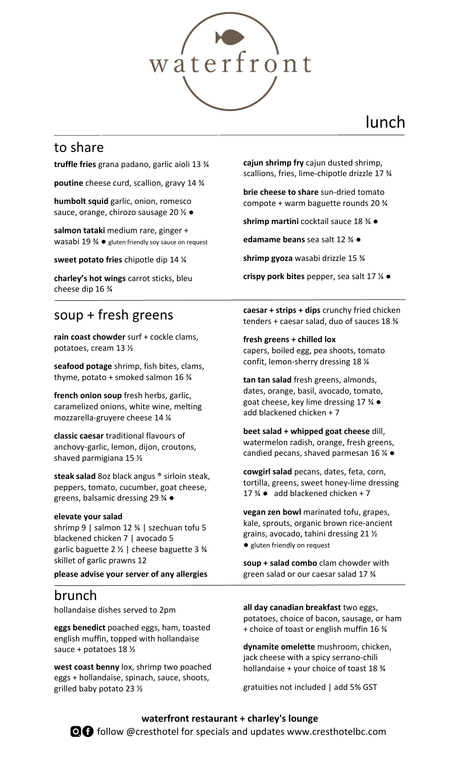

## lunch

### to share

**truffle fries** grana padano, garlic aioli 13 ¾

**poutine** cheese curd, scallion, gravy 14 ¾

**humbolt squid** garlic, onion, romesco sauce, orange, chirozo sausage 20 ½ ●

**salmon tataki** medium rare, ginger + wasabi 19 ¾ ● gluten friendly soy sauce on request

**sweet potato fries** chipotle dip 14 ¼

**charley's hot wings** carrot sticks, bleu cheese dip 16 ¾

## soup + fresh greens

**rain coast chowder** surf + cockle clams, potatoes, cream 13 ½

**seafood potage** shrimp, fish bites, clams, thyme, potato + smoked salmon 16 ¾

**french onion soup** fresh herbs, garlic, caramelized onions, white wine, melting mozzarella-gruyere cheese 14 ¼

**classic caesar** traditional flavours of anchovy-garlic, lemon, dijon, croutons, shaved parmigiana 15 ½

**steak salad** 8oz black angus ® sirloin steak, peppers, tomato, cucumber, goat cheese, greens, balsamic dressing 29 ¾ ●

#### **elevate your salad**

shrimp 9 | salmon 12 ¾ | szechuan tofu 5 blackened chicken 7 | avocado 5 garlic baguette 2 ½ | cheese baguette 3 ¾ skillet of garlic prawns 12

**please advise your server of any allergies**

### brunch

hollandaise dishes served to 2pm

**eggs benedict** poached eggs, ham, toasted english muffin, topped with hollandaise sauce + potatoes 18 ½

**west coast benny** lox, shrimp two poached eggs + hollandaise, spinach, sauce, shoots, grilled baby potato 23 ½

**cajun shrimp fry** cajun dusted shrimp, scallions, fries, lime-chipotle drizzle 17 ¾

**brie cheese to share** sun-dried tomato compote + warm baguette rounds 20 ¾

**shrimp martini** cocktail sauce 18 ¾ ●

**edamame beans** sea salt 12 ¾ ●

**shrimp gyoza** wasabi drizzle 15 ¾

**crispy pork bites** pepper, sea salt 17 ¼ ●

**caesar + strips + dips** crunchy fried chicken tenders + caesar salad, duo of sauces 18 ¾

**fresh greens + chilled lox**  capers, boiled egg, pea shoots, tomato confit, lemon-sherry dressing 18 ¼

**tan tan salad** fresh greens, almonds, dates, orange, basil, avocado, tomato, goat cheese, key lime dressing 17 ¾ ● add blackened chicken + 7

**beet salad + whipped goat cheese** dill, watermelon radish, orange, fresh greens, candied pecans, shaved parmesan 16  $\frac{1}{4}$   $\bullet$ 

**cowgirl salad** pecans, dates, feta, corn, tortilla, greens, sweet honey-lime dressing 17  $\frac{3}{4}$   $\bullet$  add blackened chicken + 7

**vegan zen bowl** marinated tofu, grapes, kale, sprouts, organic brown rice-ancient grains, avocado, tahini dressing 21 ½ ● gluten friendly on request

**soup + salad combo** clam chowder with green salad or our caesar salad 17 ¾

**all day canadian breakfast** two eggs, potatoes, choice of bacon, sausage, or ham + choice of toast or english muffin 16 ¾

**dynamite omelette** mushroom, chicken, jack cheese with a spicy serrano-chili hollandaise + your choice of toast 18 ¾

gratuities not included | add 5% GST